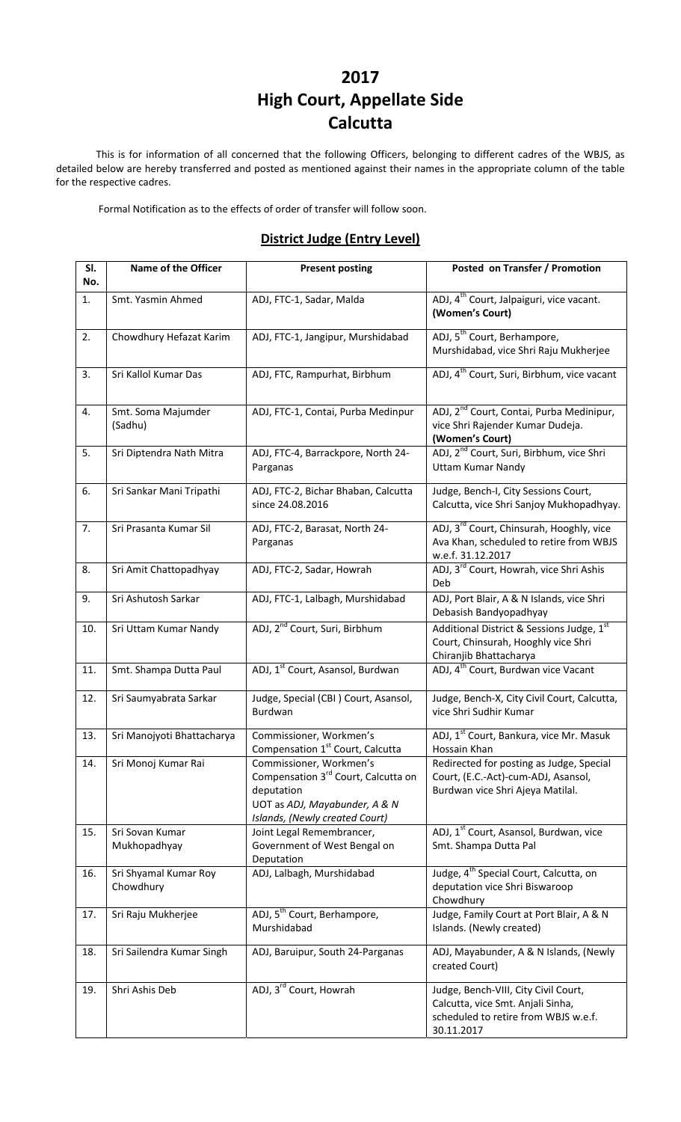# **2017 High Court, Appellate Side Calcutta**

This is for information of all concerned that the following Officers, belonging to different cadres of the WBJS, as detailed below are hereby transferred and posted as mentioned against their names in the appropriate column of the table for the respective cadres.

Formal Notification as to the effects of order of transfer will follow soon.

#### **District Judge (Entry Level)**

| SI.<br>No. | Name of the Officer                | <b>Present posting</b>                                                                                                                                      | Posted on Transfer / Promotion                                                                                                  |
|------------|------------------------------------|-------------------------------------------------------------------------------------------------------------------------------------------------------------|---------------------------------------------------------------------------------------------------------------------------------|
| 1.         | Smt. Yasmin Ahmed                  | ADJ, FTC-1, Sadar, Malda                                                                                                                                    | ADJ, 4 <sup>th</sup> Court, Jalpaiguri, vice vacant.<br>(Women's Court)                                                         |
| 2.         | Chowdhury Hefazat Karim            | ADJ, FTC-1, Jangipur, Murshidabad                                                                                                                           | ADJ, 5 <sup>th</sup> Court, Berhampore,<br>Murshidabad, vice Shri Raju Mukherjee                                                |
| 3.         | Sri Kallol Kumar Das               | ADJ, FTC, Rampurhat, Birbhum                                                                                                                                | ADJ, 4 <sup>th</sup> Court, Suri, Birbhum, vice vacant                                                                          |
| 4.         | Smt. Soma Majumder<br>(Sadhu)      | ADJ, FTC-1, Contai, Purba Medinpur                                                                                                                          | ADJ, 2 <sup>nd</sup> Court, Contai, Purba Medinipur,<br>vice Shri Rajender Kumar Dudeja.<br>(Women's Court)                     |
| 5.         | Sri Diptendra Nath Mitra           | ADJ, FTC-4, Barrackpore, North 24-<br>Parganas                                                                                                              | ADJ, 2 <sup>nd</sup> Court, Suri, Birbhum, vice Shri<br><b>Uttam Kumar Nandy</b>                                                |
| 6.         | Sri Sankar Mani Tripathi           | ADJ, FTC-2, Bichar Bhaban, Calcutta<br>since 24.08.2016                                                                                                     | Judge, Bench-I, City Sessions Court,<br>Calcutta, vice Shri Sanjoy Mukhopadhyay.                                                |
| 7.         | Sri Prasanta Kumar Sil             | ADJ, FTC-2, Barasat, North 24-<br>Parganas                                                                                                                  | ADJ, 3 <sup>rd</sup> Court, Chinsurah, Hooghly, vice<br>Ava Khan, scheduled to retire from WBJS<br>w.e.f. 31.12.2017            |
| 8.         | Sri Amit Chattopadhyay             | ADJ, FTC-2, Sadar, Howrah                                                                                                                                   | ADJ, 3 <sup>rd</sup> Court, Howrah, vice Shri Ashis<br>Deb                                                                      |
| 9.         | Sri Ashutosh Sarkar                | ADJ, FTC-1, Lalbagh, Murshidabad                                                                                                                            | ADJ, Port Blair, A & N Islands, vice Shri<br>Debasish Bandyopadhyay                                                             |
| 10.        | Sri Uttam Kumar Nandy              | ADJ, 2 <sup>nd</sup> Court, Suri, Birbhum                                                                                                                   | Additional District & Sessions Judge, 1st<br>Court, Chinsurah, Hooghly vice Shri<br>Chiranjib Bhattacharya                      |
| 11.        | Smt. Shampa Dutta Paul             | ADJ, 1 <sup>st</sup> Court, Asansol, Burdwan                                                                                                                | ADJ, 4 <sup>th</sup> Court, Burdwan vice Vacant                                                                                 |
| 12.        | Sri Saumyabrata Sarkar             | Judge, Special (CBI) Court, Asansol,<br>Burdwan                                                                                                             | Judge, Bench-X, City Civil Court, Calcutta,<br>vice Shri Sudhir Kumar                                                           |
| 13.        | Sri Manojyoti Bhattacharya         | Commissioner, Workmen's<br>Compensation 1 <sup>st</sup> Court, Calcutta                                                                                     | ADJ, 1 <sup>st</sup> Court, Bankura, vice Mr. Masuk<br>Hossain Khan                                                             |
| 14.        | Sri Monoj Kumar Rai                | Commissioner, Workmen's<br>Compensation 3 <sup>rd</sup> Court, Calcutta on<br>deputation<br>UOT as ADJ, Mayabunder, A & N<br>Islands, (Newly created Court) | Redirected for posting as Judge, Special<br>Court, (E.C.-Act)-cum-ADJ, Asansol,<br>Burdwan vice Shri Ajeya Matilal.             |
| 15.        | Sri Sovan Kumar<br>Mukhopadhyay    | Joint Legal Remembrancer,<br>Government of West Bengal on<br>Deputation                                                                                     | ADJ, 1 <sup>st</sup> Court, Asansol, Burdwan, vice<br>Smt. Shampa Dutta Pal                                                     |
| 16.        | Sri Shyamal Kumar Roy<br>Chowdhury | ADJ, Lalbagh, Murshidabad                                                                                                                                   | Judge, 4 <sup>th</sup> Special Court, Calcutta, on<br>deputation vice Shri Biswaroop<br>Chowdhury                               |
| 17.        | Sri Raju Mukherjee                 | ADJ, 5 <sup>th</sup> Court, Berhampore,<br>Murshidabad                                                                                                      | Judge, Family Court at Port Blair, A & N<br>Islands. (Newly created)                                                            |
| 18.        | Sri Sailendra Kumar Singh          | ADJ, Baruipur, South 24-Parganas                                                                                                                            | ADJ, Mayabunder, A & N Islands, (Newly<br>created Court)                                                                        |
| 19.        | Shri Ashis Deb                     | ADJ, 3 <sup>rd</sup> Court, Howrah                                                                                                                          | Judge, Bench-VIII, City Civil Court,<br>Calcutta, vice Smt. Anjali Sinha,<br>scheduled to retire from WBJS w.e.f.<br>30.11.2017 |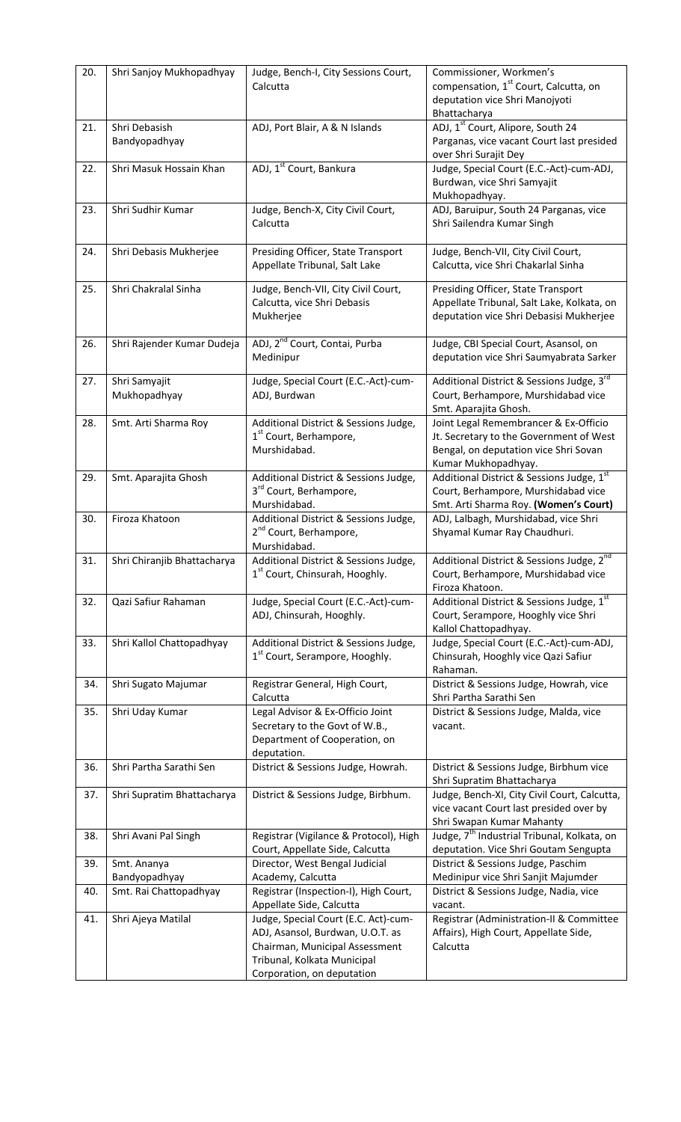| 20. | Shri Sanjoy Mukhopadhyay                | Judge, Bench-I, City Sessions Court,<br>Calcutta                                                                                                                                                    | Commissioner, Workmen's<br>compensation, 1 <sup>st</sup> Court, Calcutta, on<br>deputation vice Shri Manojyoti<br>Bhattacharya                   |
|-----|-----------------------------------------|-----------------------------------------------------------------------------------------------------------------------------------------------------------------------------------------------------|--------------------------------------------------------------------------------------------------------------------------------------------------|
| 21. | Shri Debasish<br>Bandyopadhyay          | ADJ, Port Blair, A & N Islands                                                                                                                                                                      | ADJ, 1st Court, Alipore, South 24<br>Parganas, vice vacant Court last presided<br>over Shri Surajit Dey                                          |
| 22. | Shri Masuk Hossain Khan                 | ADJ, 1 <sup>st</sup> Court, Bankura                                                                                                                                                                 | Judge, Special Court (E.C.-Act)-cum-ADJ,<br>Burdwan, vice Shri Samyajit<br>Mukhopadhyay.                                                         |
| 23. | Shri Sudhir Kumar                       | Judge, Bench-X, City Civil Court,<br>Calcutta                                                                                                                                                       | ADJ, Baruipur, South 24 Parganas, vice<br>Shri Sailendra Kumar Singh                                                                             |
| 24. | Shri Debasis Mukherjee                  | Presiding Officer, State Transport<br>Appellate Tribunal, Salt Lake                                                                                                                                 | Judge, Bench-VII, City Civil Court,<br>Calcutta, vice Shri Chakarlal Sinha                                                                       |
| 25. | Shri Chakralal Sinha                    | Judge, Bench-VII, City Civil Court,<br>Calcutta, vice Shri Debasis<br>Mukherjee                                                                                                                     | Presiding Officer, State Transport<br>Appellate Tribunal, Salt Lake, Kolkata, on<br>deputation vice Shri Debasisi Mukherjee                      |
| 26. | Shri Rajender Kumar Dudeja              | ADJ, 2 <sup>nd</sup> Court, Contai, Purba<br>Medinipur                                                                                                                                              | Judge, CBI Special Court, Asansol, on<br>deputation vice Shri Saumyabrata Sarker                                                                 |
| 27. | Shri Samyajit<br>Mukhopadhyay           | Judge, Special Court (E.C.-Act)-cum-<br>ADJ, Burdwan                                                                                                                                                | Additional District & Sessions Judge, 3rd<br>Court, Berhampore, Murshidabad vice<br>Smt. Aparajita Ghosh.                                        |
| 28. | Smt. Arti Sharma Roy                    | Additional District & Sessions Judge,<br>1 <sup>st</sup> Court, Berhampore,<br>Murshidabad.                                                                                                         | Joint Legal Remembrancer & Ex-Officio<br>Jt. Secretary to the Government of West<br>Bengal, on deputation vice Shri Sovan<br>Kumar Mukhopadhyay. |
| 29. | Smt. Aparajita Ghosh                    | Additional District & Sessions Judge,<br>3 <sup>rd</sup> Court, Berhampore,<br>Murshidabad.                                                                                                         | Additional District & Sessions Judge, 1st<br>Court, Berhampore, Murshidabad vice<br>Smt. Arti Sharma Roy. (Women's Court)                        |
| 30. | Firoza Khatoon                          | Additional District & Sessions Judge,<br>2 <sup>nd</sup> Court, Berhampore,<br>Murshidabad.                                                                                                         | ADJ, Lalbagh, Murshidabad, vice Shri<br>Shyamal Kumar Ray Chaudhuri.                                                                             |
| 31. | Shri Chiranjib Bhattacharya             | Additional District & Sessions Judge,<br>1 <sup>st</sup> Court, Chinsurah, Hooghly.                                                                                                                 | Additional District & Sessions Judge, 2 <sup>nd</sup><br>Court, Berhampore, Murshidabad vice<br>Firoza Khatoon.                                  |
| 32. | Qazi Safiur Rahaman                     | Judge, Special Court (E.C.-Act)-cum-<br>ADJ, Chinsurah, Hooghly.                                                                                                                                    | Additional District & Sessions Judge, 1st<br>Court, Serampore, Hooghly vice Shri<br>Kallol Chattopadhyay.                                        |
| 33. | Shri Kallol Chattopadhyay               | Additional District & Sessions Judge,<br>1 <sup>st</sup> Court, Serampore, Hooghly.                                                                                                                 | Judge, Special Court (E.C.-Act)-cum-ADJ,<br>Chinsurah, Hooghly vice Qazi Safiur<br>Rahaman.                                                      |
| 34. | Shri Sugato Majumar                     | Registrar General, High Court,<br>Calcutta                                                                                                                                                          | District & Sessions Judge, Howrah, vice<br>Shri Partha Sarathi Sen                                                                               |
| 35. | Shri Uday Kumar                         | Legal Advisor & Ex-Officio Joint<br>Secretary to the Govt of W.B.,<br>Department of Cooperation, on<br>deputation.                                                                                  | District & Sessions Judge, Malda, vice<br>vacant.                                                                                                |
| 36. | Shri Partha Sarathi Sen                 | District & Sessions Judge, Howrah.                                                                                                                                                                  | District & Sessions Judge, Birbhum vice<br>Shri Supratim Bhattacharya                                                                            |
| 37. | Shri Supratim Bhattacharya              | District & Sessions Judge, Birbhum.                                                                                                                                                                 | Judge, Bench-XI, City Civil Court, Calcutta,<br>vice vacant Court last presided over by<br>Shri Swapan Kumar Mahanty                             |
| 38. | Shri Avani Pal Singh                    | Registrar (Vigilance & Protocol), High<br>Court, Appellate Side, Calcutta                                                                                                                           | Judge, 7 <sup>th</sup> Industrial Tribunal, Kolkata, on<br>deputation. Vice Shri Goutam Sengupta                                                 |
| 39. | Smt. Ananya                             | Director, West Bengal Judicial                                                                                                                                                                      | District & Sessions Judge, Paschim                                                                                                               |
| 40. | Bandyopadhyay<br>Smt. Rai Chattopadhyay | Academy, Calcutta<br>Registrar (Inspection-I), High Court,                                                                                                                                          | Medinipur vice Shri Sanjit Majumder<br>District & Sessions Judge, Nadia, vice                                                                    |
| 41. | Shri Ajeya Matilal                      | Appellate Side, Calcutta<br>Judge, Special Court (E.C. Act)-cum-<br>ADJ, Asansol, Burdwan, U.O.T. as<br>Chairman, Municipal Assessment<br>Tribunal, Kolkata Municipal<br>Corporation, on deputation | vacant.<br>Registrar (Administration-II & Committee<br>Affairs), High Court, Appellate Side,<br>Calcutta                                         |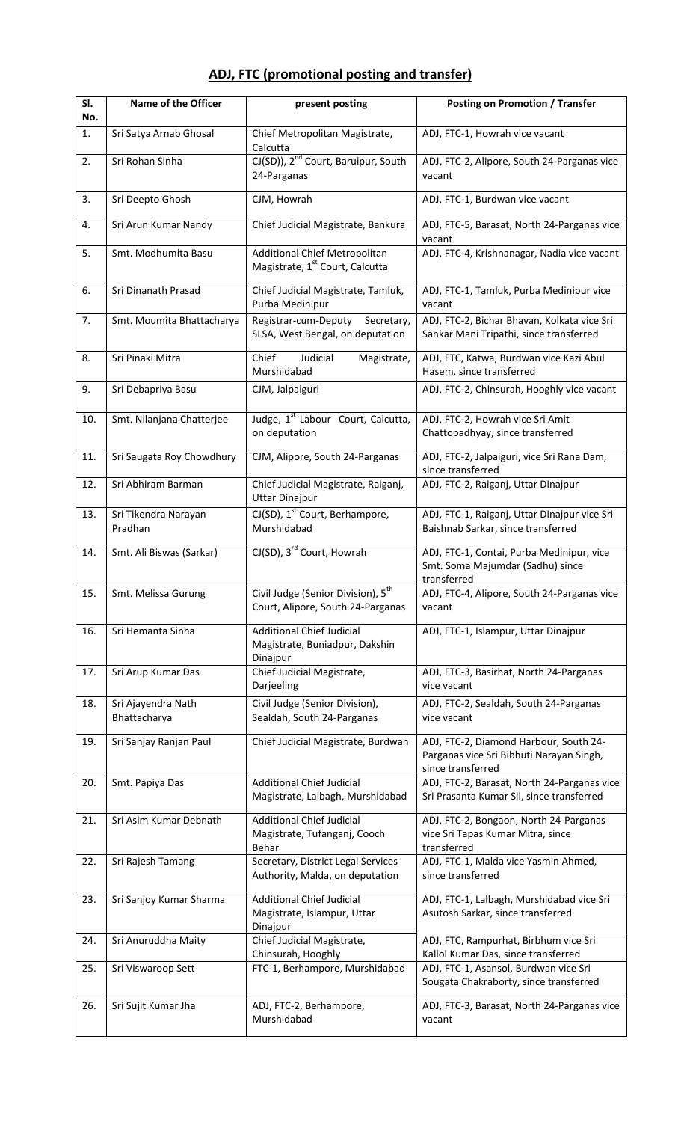| SI.<br>No. | <b>Name of the Officer</b>         | present posting                                                                     | <b>Posting on Promotion / Transfer</b>                                                                  |
|------------|------------------------------------|-------------------------------------------------------------------------------------|---------------------------------------------------------------------------------------------------------|
| 1.         | Sri Satya Arnab Ghosal             | Chief Metropolitan Magistrate,<br>Calcutta                                          | ADJ, FTC-1, Howrah vice vacant                                                                          |
| 2.         | Sri Rohan Sinha                    | CJ(SD)), 2 <sup>nd</sup> Court, Baruipur, South<br>24-Parganas                      | ADJ, FTC-2, Alipore, South 24-Parganas vice<br>vacant                                                   |
| 3.         | Sri Deepto Ghosh                   | CJM, Howrah                                                                         | ADJ, FTC-1, Burdwan vice vacant                                                                         |
| 4.         | Sri Arun Kumar Nandy               | Chief Judicial Magistrate, Bankura                                                  | ADJ, FTC-5, Barasat, North 24-Parganas vice<br>vacant                                                   |
| 5.         | Smt. Modhumita Basu                | Additional Chief Metropolitan<br>Magistrate, 1 <sup>st</sup> Court, Calcutta        | ADJ, FTC-4, Krishnanagar, Nadia vice vacant                                                             |
| 6.         | Sri Dinanath Prasad                | Chief Judicial Magistrate, Tamluk,<br>Purba Medinipur                               | ADJ, FTC-1, Tamluk, Purba Medinipur vice<br>vacant                                                      |
| 7.         | Smt. Moumita Bhattacharya          | Registrar-cum-Deputy<br>Secretary,<br>SLSA, West Bengal, on deputation              | ADJ, FTC-2, Bichar Bhavan, Kolkata vice Sri<br>Sankar Mani Tripathi, since transferred                  |
| 8.         | Sri Pinaki Mitra                   | Judicial<br>Chief<br>Magistrate,<br>Murshidabad                                     | ADJ, FTC, Katwa, Burdwan vice Kazi Abul<br>Hasem, since transferred                                     |
| 9.         | Sri Debapriya Basu                 | CJM, Jalpaiguri                                                                     | ADJ, FTC-2, Chinsurah, Hooghly vice vacant                                                              |
| 10.        | Smt. Nilanjana Chatterjee          | Judge, 1 <sup>st</sup> Labour Court, Calcutta,<br>on deputation                     | ADJ, FTC-2, Howrah vice Sri Amit<br>Chattopadhyay, since transferred                                    |
| 11.        | Sri Saugata Roy Chowdhury          | CJM, Alipore, South 24-Parganas                                                     | ADJ, FTC-2, Jalpaiguri, vice Sri Rana Dam,<br>since transferred                                         |
| 12.        | Sri Abhiram Barman                 | Chief Judicial Magistrate, Raiganj,<br><b>Uttar Dinajpur</b>                        | ADJ, FTC-2, Raiganj, Uttar Dinajpur                                                                     |
| 13.        | Sri Tikendra Narayan<br>Pradhan    | CJ(SD), 1 <sup>st</sup> Court, Berhampore,<br>Murshidabad                           | ADJ, FTC-1, Raiganj, Uttar Dinajpur vice Sri<br>Baishnab Sarkar, since transferred                      |
| 14.        | Smt. Ali Biswas (Sarkar)           | CJ(SD), 3 <sup>rd</sup> Court, Howrah                                               | ADJ, FTC-1, Contai, Purba Medinipur, vice<br>Smt. Soma Majumdar (Sadhu) since<br>transferred            |
| 15.        | Smt. Melissa Gurung                | Civil Judge (Senior Division), 5 <sup>th</sup><br>Court, Alipore, South 24-Parganas | ADJ, FTC-4, Alipore, South 24-Parganas vice<br>vacant                                                   |
| 16.        | Sri Hemanta Sinha                  | <b>Additional Chief Judicial</b><br>Magistrate, Buniadpur, Dakshin<br>Dinajpur      | ADJ, FTC-1, Islampur, Uttar Dinajpur                                                                    |
| 17.        | Sri Arup Kumar Das                 | Chief Judicial Magistrate,<br>Darjeeling                                            | ADJ, FTC-3, Basirhat, North 24-Parganas<br>vice vacant                                                  |
| 18.        | Sri Ajayendra Nath<br>Bhattacharya | Civil Judge (Senior Division),<br>Sealdah, South 24-Parganas                        | ADJ, FTC-2, Sealdah, South 24-Parganas<br>vice vacant                                                   |
| 19.        | Sri Sanjay Ranjan Paul             | Chief Judicial Magistrate, Burdwan                                                  | ADJ, FTC-2, Diamond Harbour, South 24-<br>Parganas vice Sri Bibhuti Narayan Singh,<br>since transferred |
| 20.        | Smt. Papiya Das                    | <b>Additional Chief Judicial</b><br>Magistrate, Lalbagh, Murshidabad                | ADJ, FTC-2, Barasat, North 24-Parganas vice<br>Sri Prasanta Kumar Sil, since transferred                |
| 21.        | Sri Asim Kumar Debnath             | <b>Additional Chief Judicial</b><br>Magistrate, Tufanganj, Cooch<br>Behar           | ADJ, FTC-2, Bongaon, North 24-Parganas<br>vice Sri Tapas Kumar Mitra, since<br>transferred              |
| 22.        | Sri Rajesh Tamang                  | Secretary, District Legal Services<br>Authority, Malda, on deputation               | ADJ, FTC-1, Malda vice Yasmin Ahmed,<br>since transferred                                               |
| 23.        | Sri Sanjoy Kumar Sharma            | <b>Additional Chief Judicial</b><br>Magistrate, Islampur, Uttar<br>Dinajpur         | ADJ, FTC-1, Lalbagh, Murshidabad vice Sri<br>Asutosh Sarkar, since transferred                          |
| 24.        | Sri Anuruddha Maity                | Chief Judicial Magistrate,<br>Chinsurah, Hooghly                                    | ADJ, FTC, Rampurhat, Birbhum vice Sri<br>Kallol Kumar Das, since transferred                            |
| 25.        | Sri Viswaroop Sett                 | FTC-1, Berhampore, Murshidabad                                                      | ADJ, FTC-1, Asansol, Burdwan vice Sri<br>Sougata Chakraborty, since transferred                         |
| 26.        | Sri Sujit Kumar Jha                | ADJ, FTC-2, Berhampore,<br>Murshidabad                                              | ADJ, FTC-3, Barasat, North 24-Parganas vice<br>vacant                                                   |

## **ADJ, FTC (promotional posting and transfer)**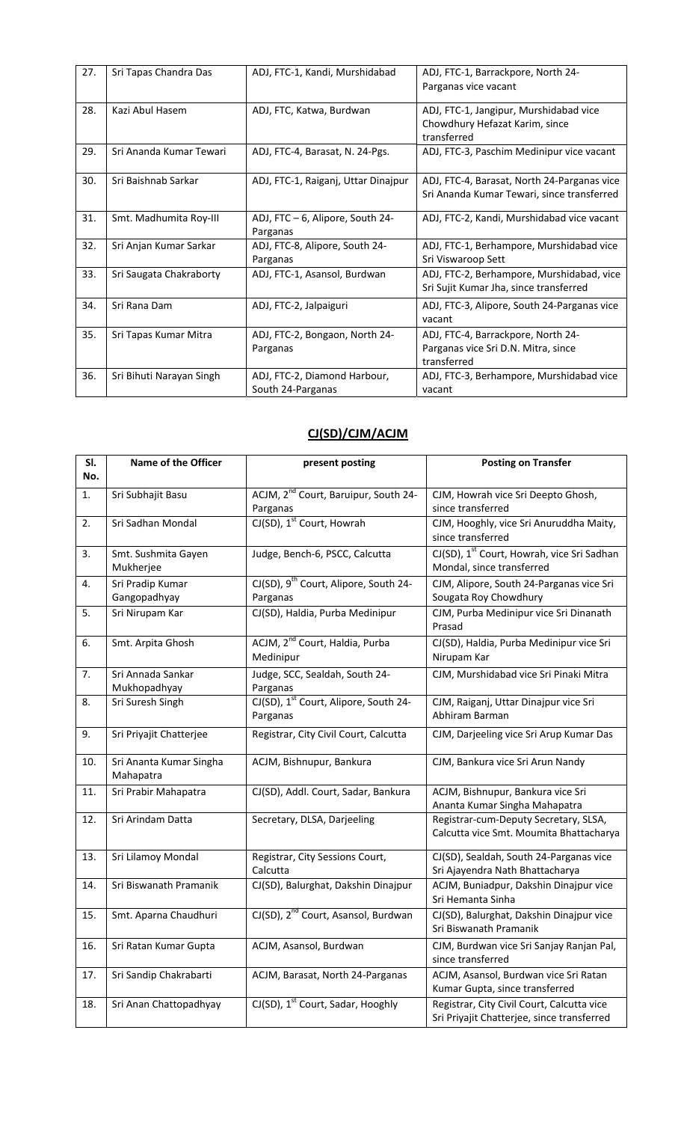| 27. | Sri Tapas Chandra Das    | ADJ, FTC-1, Kandi, Murshidabad                    | ADJ, FTC-1, Barrackpore, North 24-<br>Parganas vice vacant                                |
|-----|--------------------------|---------------------------------------------------|-------------------------------------------------------------------------------------------|
| 28. | Kazi Abul Hasem          | ADJ, FTC, Katwa, Burdwan                          | ADJ, FTC-1, Jangipur, Murshidabad vice<br>Chowdhury Hefazat Karim, since<br>transferred   |
| 29. | Sri Ananda Kumar Tewari  | ADJ, FTC-4, Barasat, N. 24-Pgs.                   | ADJ, FTC-3, Paschim Medinipur vice vacant                                                 |
| 30. | Sri Baishnab Sarkar      | ADJ, FTC-1, Raiganj, Uttar Dinajpur               | ADJ, FTC-4, Barasat, North 24-Parganas vice<br>Sri Ananda Kumar Tewari, since transferred |
| 31. | Smt. Madhumita Roy-III   | ADJ, FTC - 6, Alipore, South 24-<br>Parganas      | ADJ, FTC-2, Kandi, Murshidabad vice vacant                                                |
| 32. | Sri Anjan Kumar Sarkar   | ADJ, FTC-8, Alipore, South 24-<br>Parganas        | ADJ, FTC-1, Berhampore, Murshidabad vice<br>Sri Viswaroop Sett                            |
| 33. | Sri Saugata Chakraborty  | ADJ, FTC-1, Asansol, Burdwan                      | ADJ, FTC-2, Berhampore, Murshidabad, vice<br>Sri Sujit Kumar Jha, since transferred       |
| 34. | Sri Rana Dam             | ADJ, FTC-2, Jalpaiguri                            | ADJ, FTC-3, Alipore, South 24-Parganas vice<br>vacant                                     |
| 35. | Sri Tapas Kumar Mitra    | ADJ, FTC-2, Bongaon, North 24-<br>Parganas        | ADJ, FTC-4, Barrackpore, North 24-<br>Parganas vice Sri D.N. Mitra, since<br>transferred  |
| 36. | Sri Bihuti Narayan Singh | ADJ, FTC-2, Diamond Harbour,<br>South 24-Parganas | ADJ, FTC-3, Berhampore, Murshidabad vice<br>vacant                                        |

## **CJ(SD)/CJM/ACJM**

| SI.<br>No. | <b>Name of the Officer</b>           | present posting                                               | <b>Posting on Transfer</b>                                                               |
|------------|--------------------------------------|---------------------------------------------------------------|------------------------------------------------------------------------------------------|
| 1.         | Sri Subhajit Basu                    | ACJM, 2 <sup>nd</sup> Court, Baruipur, South 24-<br>Parganas  | CJM, Howrah vice Sri Deepto Ghosh,<br>since transferred                                  |
| 2.         | Sri Sadhan Mondal                    | CJ(SD), 1 <sup>st</sup> Court, Howrah                         | CJM, Hooghly, vice Sri Anuruddha Maity,<br>since transferred                             |
| 3.         | Smt. Sushmita Gayen<br>Mukherjee     | Judge, Bench-6, PSCC, Calcutta                                | CJ(SD), 1 <sup>st</sup> Court, Howrah, vice Sri Sadhan<br>Mondal, since transferred      |
| 4.         | Sri Pradip Kumar<br>Gangopadhyay     | CJ(SD), 9 <sup>th</sup> Court, Alipore, South 24-<br>Parganas | CJM, Alipore, South 24-Parganas vice Sri<br>Sougata Roy Chowdhury                        |
| 5.         | Sri Nirupam Kar                      | CJ(SD), Haldia, Purba Medinipur                               | CJM, Purba Medinipur vice Sri Dinanath<br>Prasad                                         |
| 6.         | Smt. Arpita Ghosh                    | ACJM, 2 <sup>nd</sup> Court, Haldia, Purba<br>Medinipur       | CJ(SD), Haldia, Purba Medinipur vice Sri<br>Nirupam Kar                                  |
| 7.         | Sri Annada Sankar<br>Mukhopadhyay    | Judge, SCC, Sealdah, South 24-<br>Parganas                    | CJM, Murshidabad vice Sri Pinaki Mitra                                                   |
| 8.         | Sri Suresh Singh                     | CJ(SD), 1 <sup>st</sup> Court, Alipore, South 24-<br>Parganas | CJM, Raiganj, Uttar Dinajpur vice Sri<br>Abhiram Barman                                  |
| 9.         | Sri Priyajit Chatterjee              | Registrar, City Civil Court, Calcutta                         | CJM, Darjeeling vice Sri Arup Kumar Das                                                  |
| 10.        | Sri Ananta Kumar Singha<br>Mahapatra | ACJM, Bishnupur, Bankura                                      | CJM, Bankura vice Sri Arun Nandy                                                         |
| 11.        | Sri Prabir Mahapatra                 | CJ(SD), Addl. Court, Sadar, Bankura                           | ACJM, Bishnupur, Bankura vice Sri<br>Ananta Kumar Singha Mahapatra                       |
| 12.        | Sri Arindam Datta                    | Secretary, DLSA, Darjeeling                                   | Registrar-cum-Deputy Secretary, SLSA,<br>Calcutta vice Smt. Moumita Bhattacharya         |
| 13.        | Sri Lilamoy Mondal                   | Registrar, City Sessions Court,<br>Calcutta                   | CJ(SD), Sealdah, South 24-Parganas vice<br>Sri Ajayendra Nath Bhattacharya               |
| 14.        | Sri Biswanath Pramanik               | CJ(SD), Balurghat, Dakshin Dinajpur                           | ACJM, Buniadpur, Dakshin Dinajpur vice<br>Sri Hemanta Sinha                              |
| 15.        | Smt. Aparna Chaudhuri                | CJ(SD), 2 <sup>nd</sup> Court, Asansol, Burdwan               | CJ(SD), Balurghat, Dakshin Dinajpur vice<br>Sri Biswanath Pramanik                       |
| 16.        | Sri Ratan Kumar Gupta                | ACJM, Asansol, Burdwan                                        | CJM, Burdwan vice Sri Sanjay Ranjan Pal,<br>since transferred                            |
| 17.        | Sri Sandip Chakrabarti               | ACJM, Barasat, North 24-Parganas                              | ACJM, Asansol, Burdwan vice Sri Ratan<br>Kumar Gupta, since transferred                  |
| 18.        | Sri Anan Chattopadhyay               | CJ(SD), 1 <sup>st</sup> Court, Sadar, Hooghly                 | Registrar, City Civil Court, Calcutta vice<br>Sri Priyajit Chatterjee, since transferred |